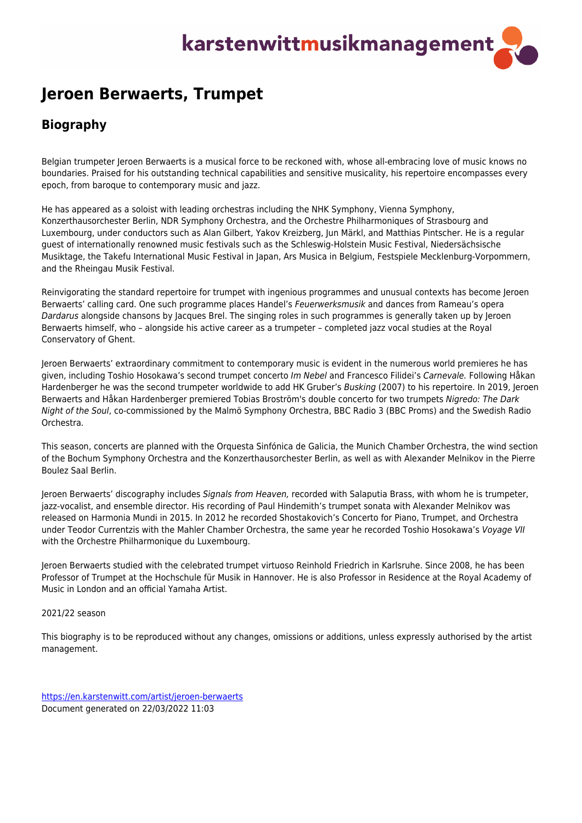## karstenwittmusikmanagement

## **Jeroen Berwaerts, Trumpet**

## **Biography**

Belgian trumpeter Jeroen Berwaerts is a musical force to be reckoned with, whose all-embracing love of music knows no boundaries. Praised for his outstanding technical capabilities and sensitive musicality, his repertoire encompasses every epoch, from baroque to contemporary music and jazz.

He has appeared as a soloist with leading orchestras including the NHK Symphony, Vienna Symphony, Konzerthausorchester Berlin, NDR Symphony Orchestra, and the Orchestre Philharmoniques of Strasbourg and Luxembourg, under conductors such as Alan Gilbert, Yakov Kreizberg, Jun Märkl, and Matthias Pintscher. He is a regular guest of internationally renowned music festivals such as the Schleswig-Holstein Music Festival, Niedersächsische Musiktage, the Takefu International Music Festival in Japan, Ars Musica in Belgium, Festspiele Mecklenburg-Vorpommern, and the Rheingau Musik Festival.

Reinvigorating the standard repertoire for trumpet with ingenious programmes and unusual contexts has become Jeroen Berwaerts' calling card. One such programme places Handel's Feuerwerksmusik and dances from Rameau's opera Dardarus alongside chansons by Jacques Brel. The singing roles in such programmes is generally taken up by Jeroen Berwaerts himself, who – alongside his active career as a trumpeter – completed jazz vocal studies at the Royal Conservatory of Ghent.

Jeroen Berwaerts' extraordinary commitment to contemporary music is evident in the numerous world premieres he has given, including Toshio Hosokawa's second trumpet concerto Im Nebel and Francesco Filidei's Carnevale. Following Håkan Hardenberger he was the second trumpeter worldwide to add HK Gruber's Busking (2007) to his repertoire. In 2019, Jeroen Berwaerts and Håkan Hardenberger premiered Tobias Broström's double concerto for two trumpets Nigredo: The Dark Night of the Soul, co-commissioned by the Malmö Symphony Orchestra, BBC Radio 3 (BBC Proms) and the Swedish Radio Orchestra.

This season, concerts are planned with the Orquesta Sinfónica de Galicia, the Munich Chamber Orchestra, the wind section of the Bochum Symphony Orchestra and the Konzerthausorchester Berlin, as well as with Alexander Melnikov in the Pierre Boulez Saal Berlin.

Jeroen Berwaerts' discography includes Signals from Heaven, recorded with Salaputia Brass, with whom he is trumpeter, jazz-vocalist, and ensemble director. His recording of Paul Hindemith's trumpet sonata with Alexander Melnikov was released on Harmonia Mundi in 2015. In 2012 he recorded Shostakovich's Concerto for Piano, Trumpet, and Orchestra under Teodor Currentzis with the Mahler Chamber Orchestra, the same year he recorded Toshio Hosokawa's Voyage VII with the Orchestre Philharmonique du Luxembourg.

Jeroen Berwaerts studied with the celebrated trumpet virtuoso Reinhold Friedrich in Karlsruhe. Since 2008, he has been Professor of Trumpet at the Hochschule für Musik in Hannover. He is also Professor in Residence at the Royal Academy of Music in London and an official Yamaha Artist.

## 2021/22 season

This biography is to be reproduced without any changes, omissions or additions, unless expressly authorised by the artist management.

<https://en.karstenwitt.com/artist/jeroen-berwaerts> Document generated on 22/03/2022 11:03